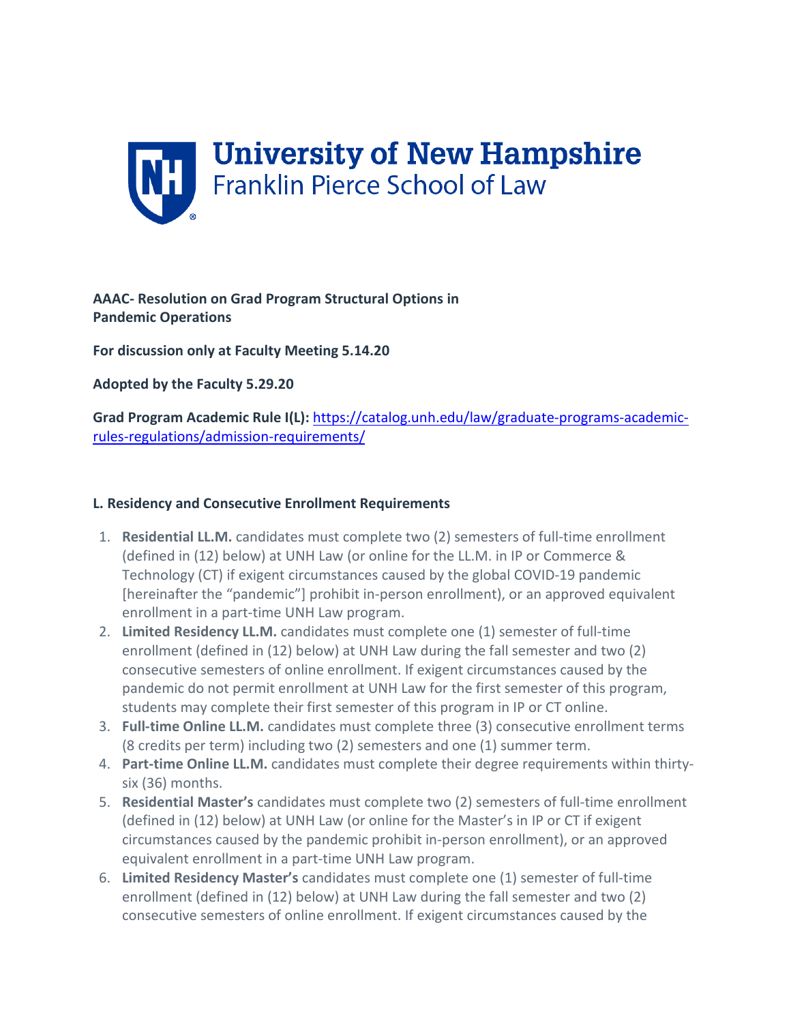

**AAAC- Resolution on Grad Program Structural Options in Pandemic Operations**

**For discussion only at Faculty Meeting 5.14.20**

**Adopted by the Faculty 5.29.20**

**Grad Program Academic Rule I(L):** [https://catalog.unh.edu/law/graduate-programs-academic](https://catalog.unh.edu/law/graduate-programs-academic-rules-regulations/admission-requirements/)[rules-regulations/admission-requirements/](https://catalog.unh.edu/law/graduate-programs-academic-rules-regulations/admission-requirements/)

## **L. Residency and Consecutive Enrollment Requirements**

- 1. **Residential LL.M.** candidates must complete two (2) semesters of full-time enrollment (defined in (12) below) at UNH Law (or online for the LL.M. in IP or Commerce & Technology (CT) if exigent circumstances caused by the global COVID-19 pandemic [hereinafter the "pandemic"] prohibit in-person enrollment), or an approved equivalent enrollment in a part-time UNH Law program.
- 2. **Limited Residency LL.M.** candidates must complete one (1) semester of full-time enrollment (defined in (12) below) at UNH Law during the fall semester and two (2) consecutive semesters of online enrollment. If exigent circumstances caused by the pandemic do not permit enrollment at UNH Law for the first semester of this program, students may complete their first semester of this program in IP or CT online.
- 3. **Full-time Online LL.M.** candidates must complete three (3) consecutive enrollment terms (8 credits per term) including two (2) semesters and one (1) summer term.
- 4. **Part-time Online LL.M.** candidates must complete their degree requirements within thirtysix (36) months.
- 5. **Residential Master's** candidates must complete two (2) semesters of full-time enrollment (defined in (12) below) at UNH Law (or online for the Master's in IP or CT if exigent circumstances caused by the pandemic prohibit in-person enrollment), or an approved equivalent enrollment in a part-time UNH Law program.
- 6. **Limited Residency Master's** candidates must complete one (1) semester of full-time enrollment (defined in (12) below) at UNH Law during the fall semester and two (2) consecutive semesters of online enrollment. If exigent circumstances caused by the